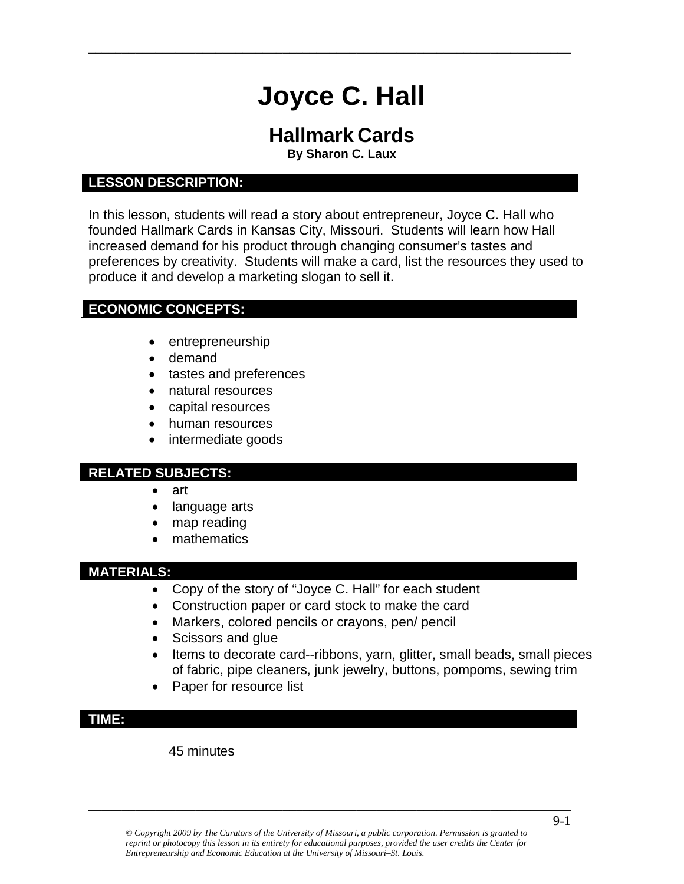# **Joyce C. Hall**

\_\_\_\_\_\_\_\_\_\_\_\_\_\_\_\_\_\_\_\_\_\_\_\_\_\_\_\_\_\_\_\_\_\_\_\_\_\_\_\_\_\_\_\_\_\_\_\_\_\_\_\_\_\_\_\_\_\_\_\_\_\_\_\_\_\_\_\_\_\_\_\_

## **Hallmark Cards**

**By Sharon C. Laux**

#### **LESSON DESCRIPTION:**

In this lesson, students will read a story about entrepreneur, Joyce C. Hall who founded Hallmark Cards in Kansas City, Missouri. Students will learn how Hall increased demand for his product through changing consumer's tastes and preferences by creativity. Students will make a card, list the resources they used to produce it and develop a marketing slogan to sell it.

#### **ECONOMIC CONCEPTS:**

- entrepreneurship
- demand
- tastes and preferences
- natural resources
- capital resources
- human resources
- intermediate goods

#### **RELATED SUBJECTS:**

- art
- language arts
- map reading
- mathematics

#### **MATERIALS:**

- Copy of the story of "Joyce C. Hall" for each student
- Construction paper or card stock to make the card
- Markers, colored pencils or crayons, pen/ pencil
- Scissors and glue
- Items to decorate card--ribbons, yarn, glitter, small beads, small pieces of fabric, pipe cleaners, junk jewelry, buttons, pompoms, sewing trim
- Paper for resource list

#### **TIME:**

45 minutes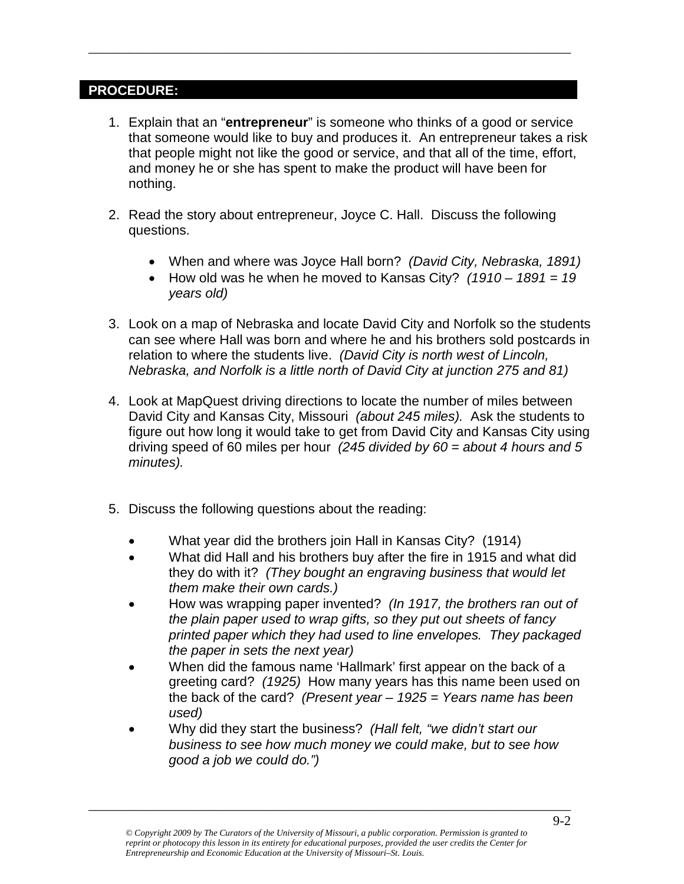#### **PROCEDURE:**

- 1. Explain that an "**entrepreneur**" is someone who thinks of a good or service that someone would like to buy and produces it. An entrepreneur takes a risk that people might not like the good or service, and that all of the time, effort, and money he or she has spent to make the product will have been for nothing.
- 2. Read the story about entrepreneur, Joyce C. Hall. Discuss the following questions.

\_\_\_\_\_\_\_\_\_\_\_\_\_\_\_\_\_\_\_\_\_\_\_\_\_\_\_\_\_\_\_\_\_\_\_\_\_\_\_\_\_\_\_\_\_\_\_\_\_\_\_\_\_\_\_\_\_\_\_\_\_\_\_\_\_\_\_\_\_\_\_\_

- When and where was Joyce Hall born? *(David City, Nebraska, 1891)*
- How old was he when he moved to Kansas City? *(1910 – 1891 = 19 years old)*
- 3. Look on a map of Nebraska and locate David City and Norfolk so the students can see where Hall was born and where he and his brothers sold postcards in relation to where the students live. *(David City is north west of Lincoln, Nebraska, and Norfolk is a little north of David City at junction 275 and 81)*
- 4. Look at MapQuest driving directions to locate the number of miles between David City and Kansas City, Missouri *(about 245 miles).* Ask the students to figure out how long it would take to get from David City and Kansas City using driving speed of 60 miles per hour *(245 divided by 60 = about 4 hours and 5 minutes).*
- 5. Discuss the following questions about the reading:
	- What year did the brothers join Hall in Kansas City? (1914)
	- What did Hall and his brothers buy after the fire in 1915 and what did they do with it? *(They bought an engraving business that would let them make their own cards.)*
	- How was wrapping paper invented? *(In 1917, the brothers ran out of the plain paper used to wrap gifts, so they put out sheets of fancy printed paper which they had used to line envelopes. They packaged the paper in sets the next year)*
	- When did the famous name 'Hallmark' first appear on the back of a greeting card? *(1925)* How many years has this name been used on the back of the card? *(Present year – 1925 = Years name has been used)*
	- Why did they start the business? *(Hall felt, "we didn't start our business to see how much money we could make, but to see how good a job we could do.")*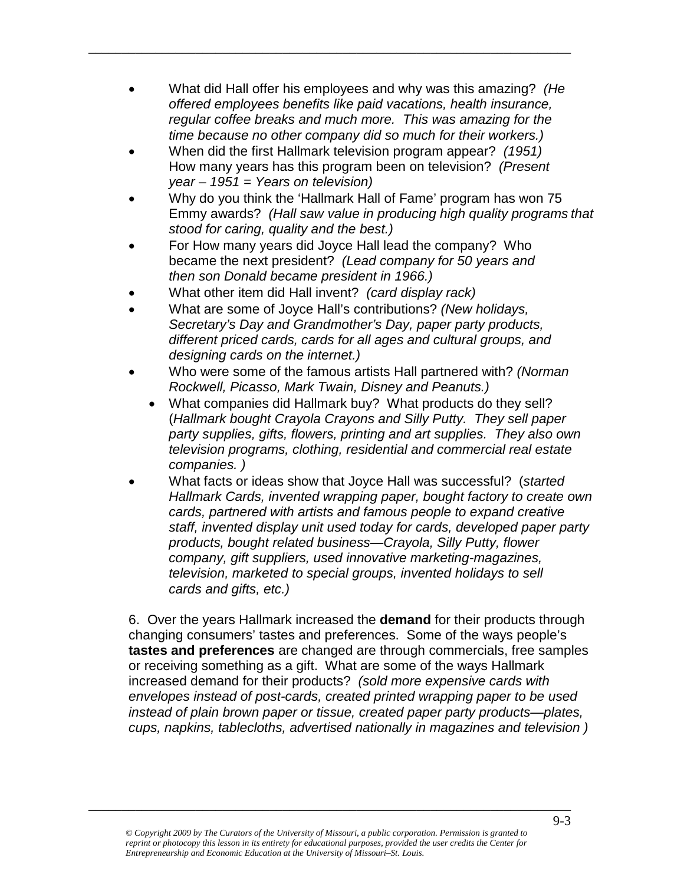• What did Hall offer his employees and why was this amazing? *(He offered employees benefits like paid vacations, health insurance, regular coffee breaks and much more. This was amazing for the time because no other company did so much for their workers.)*

\_\_\_\_\_\_\_\_\_\_\_\_\_\_\_\_\_\_\_\_\_\_\_\_\_\_\_\_\_\_\_\_\_\_\_\_\_\_\_\_\_\_\_\_\_\_\_\_\_\_\_\_\_\_\_\_\_\_\_\_\_\_\_\_\_\_\_\_\_\_\_\_

- When did the first Hallmark television program appear? *(1951)* How many years has this program been on television? *(Present year – 1951 = Years on television)*
- Why do you think the 'Hallmark Hall of Fame' program has won 75 Emmy awards? *(Hall saw value in producing high quality programs that stood for caring, quality and the best.)*
- For How many years did Joyce Hall lead the company? Who became the next president? *(Lead company for 50 years and then son Donald became president in 1966.)*
- What other item did Hall invent? *(card display rack)*
- What are some of Joyce Hall's contributions? *(New holidays, Secretary's Day and Grandmother's Day, paper party products, different priced cards, cards for all ages and cultural groups, and designing cards on the internet.)*
- Who were some of the famous artists Hall partnered with? *(Norman Rockwell, Picasso, Mark Twain, Disney and Peanuts.)*
	- What companies did Hallmark buy? What products do they sell? (*Hallmark bought Crayola Crayons and Silly Putty. They sell paper party supplies, gifts, flowers, printing and art supplies. They also own television programs, clothing, residential and commercial real estate companies. )*
- What facts or ideas show that Joyce Hall was successful? (*started Hallmark Cards, invented wrapping paper, bought factory to create own cards, partnered with artists and famous people to expand creative staff, invented display unit used today for cards, developed paper party products, bought related business—Crayola, Silly Putty, flower company, gift suppliers, used innovative marketing-magazines, television, marketed to special groups, invented holidays to sell cards and gifts, etc.)*

6. Over the years Hallmark increased the **demand** for their products through changing consumers' tastes and preferences. Some of the ways people's **tastes and preferences** are changed are through commercials, free samples or receiving something as a gift. What are some of the ways Hallmark increased demand for their products? *(sold more expensive cards with envelopes instead of post-cards, created printed wrapping paper to be used instead of plain brown paper or tissue, created paper party products—plates, cups, napkins, tablecloths, advertised nationally in magazines and television )*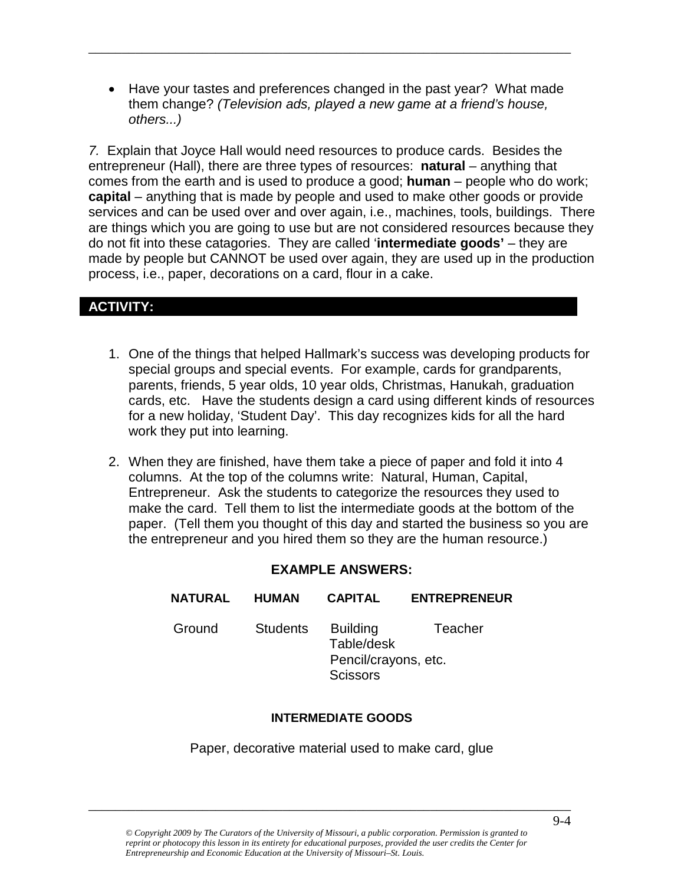• Have your tastes and preferences changed in the past year? What made them change? *(Television ads, played a new game at a friend's house, others...)*

\_\_\_\_\_\_\_\_\_\_\_\_\_\_\_\_\_\_\_\_\_\_\_\_\_\_\_\_\_\_\_\_\_\_\_\_\_\_\_\_\_\_\_\_\_\_\_\_\_\_\_\_\_\_\_\_\_\_\_\_\_\_\_\_\_\_\_\_\_\_\_\_

*7.* Explain that Joyce Hall would need resources to produce cards. Besides the entrepreneur (Hall), there are three types of resources: **natural** – anything that comes from the earth and is used to produce a good; **human** – people who do work; **capital** – anything that is made by people and used to make other goods or provide services and can be used over and over again, i.e., machines, tools, buildings. There are things which you are going to use but are not considered resources because they do not fit into these catagories. They are called '**intermediate goods'** – they are made by people but CANNOT be used over again, they are used up in the production process, i.e., paper, decorations on a card, flour in a cake.

#### **ACTIVITY:**

- 1. One of the things that helped Hallmark's success was developing products for special groups and special events. For example, cards for grandparents, parents, friends, 5 year olds, 10 year olds, Christmas, Hanukah, graduation cards, etc. Have the students design a card using different kinds of resources for a new holiday, 'Student Day'. This day recognizes kids for all the hard work they put into learning.
- 2. When they are finished, have them take a piece of paper and fold it into 4 columns. At the top of the columns write: Natural, Human, Capital, Entrepreneur. Ask the students to categorize the resources they used to make the card. Tell them to list the intermediate goods at the bottom of the paper. (Tell them you thought of this day and started the business so you are the entrepreneur and you hired them so they are the human resource.)

#### **EXAMPLE ANSWERS:**

| <b>NATURAL</b> | <b>HUMAN</b>    | <b>CAPITAL</b>                                                           | <b>ENTREPRENEUR</b> |
|----------------|-----------------|--------------------------------------------------------------------------|---------------------|
| Ground         | <b>Students</b> | <b>Building</b><br>Table/desk<br>Pencil/crayons, etc.<br><b>Scissors</b> | Teacher             |

#### **INTERMEDIATE GOODS**

Paper, decorative material used to make card, glue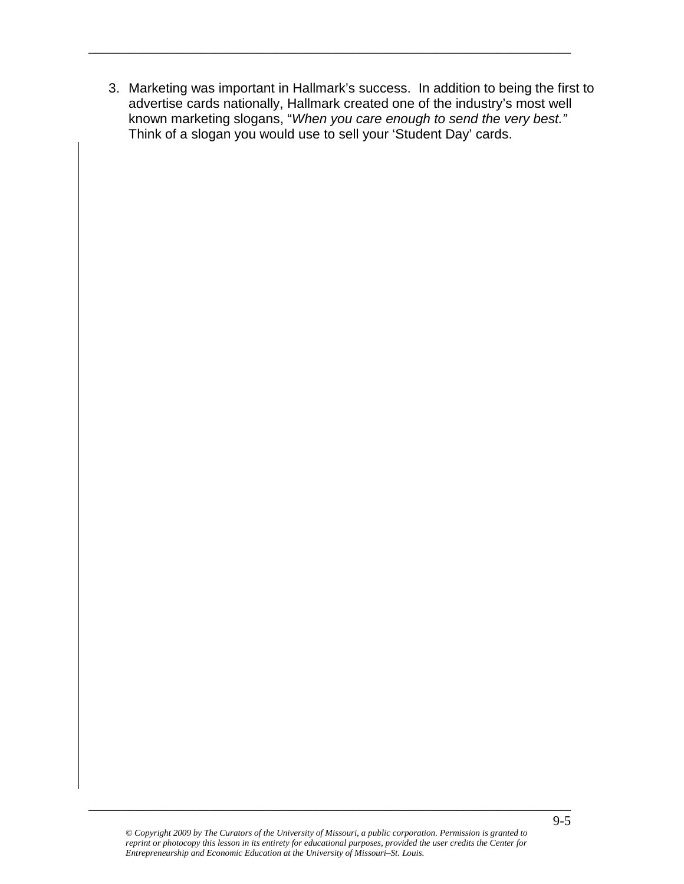3. Marketing was important in Hallmark's success. In addition to being the first to advertise cards nationally, Hallmark created one of the industry's most well known marketing slogans, "*When you care enough to send the very best."*  Think of a slogan you would use to sell your 'Student Day' cards.

\_\_\_\_\_\_\_\_\_\_\_\_\_\_\_\_\_\_\_\_\_\_\_\_\_\_\_\_\_\_\_\_\_\_\_\_\_\_\_\_\_\_\_\_\_\_\_\_\_\_\_\_\_\_\_\_\_\_\_\_\_\_\_\_\_\_\_\_\_\_\_\_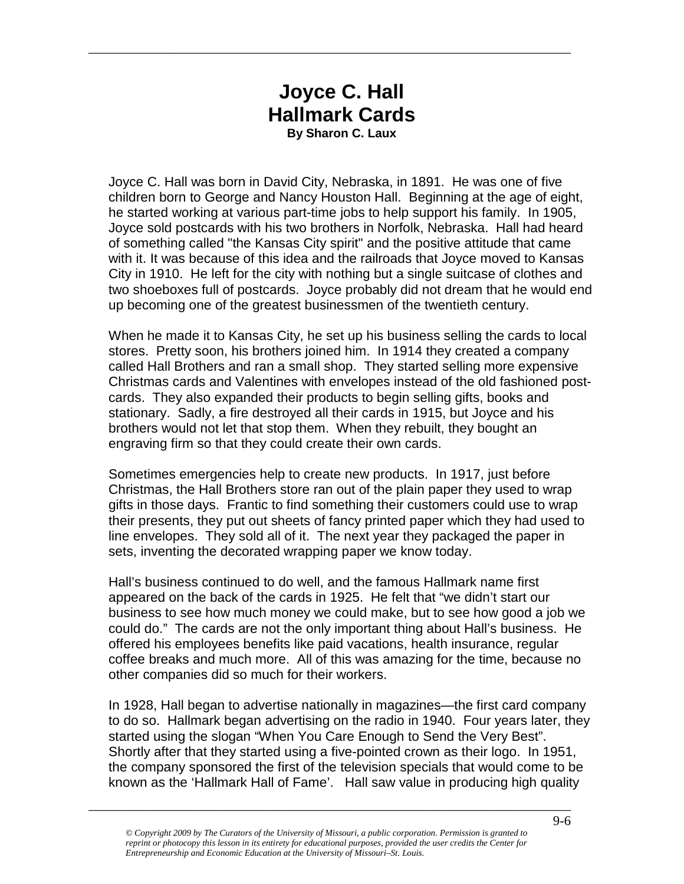### **Joyce C. Hall Hallmark Cards By Sharon C. Laux**

\_\_\_\_\_\_\_\_\_\_\_\_\_\_\_\_\_\_\_\_\_\_\_\_\_\_\_\_\_\_\_\_\_\_\_\_\_\_\_\_\_\_\_\_\_\_\_\_\_\_\_\_\_\_\_\_\_\_\_\_\_\_\_\_\_\_\_\_\_\_\_\_

Joyce C. Hall was born in David City, Nebraska, in 1891. He was one of five children born to George and Nancy Houston Hall. Beginning at the age of eight, he started working at various part-time jobs to help support his family. In 1905, Joyce sold postcards with his two brothers in Norfolk, Nebraska. Hall had heard of something called "the Kansas City spirit" and the positive attitude that came with it. It was because of this idea and the railroads that Joyce moved to Kansas City in 1910. He left for the city with nothing but a single suitcase of clothes and two shoeboxes full of postcards. Joyce probably did not dream that he would end up becoming one of the greatest businessmen of the twentieth century.

When he made it to Kansas City, he set up his business selling the cards to local stores. Pretty soon, his brothers joined him. In 1914 they created a company called Hall Brothers and ran a small shop. They started selling more expensive Christmas cards and Valentines with envelopes instead of the old fashioned postcards. They also expanded their products to begin selling gifts, books and stationary. Sadly, a fire destroyed all their cards in 1915, but Joyce and his brothers would not let that stop them. When they rebuilt, they bought an engraving firm so that they could create their own cards.

Sometimes emergencies help to create new products. In 1917, just before Christmas, the Hall Brothers store ran out of the plain paper they used to wrap gifts in those days. Frantic to find something their customers could use to wrap their presents, they put out sheets of fancy printed paper which they had used to line envelopes. They sold all of it. The next year they packaged the paper in sets, inventing the decorated wrapping paper we know today.

Hall's business continued to do well, and the famous Hallmark name first appeared on the back of the cards in 1925. He felt that "we didn't start our business to see how much money we could make, but to see how good a job we could do." The cards are not the only important thing about Hall's business. He offered his employees benefits like paid vacations, health insurance, regular coffee breaks and much more. All of this was amazing for the time, because no other companies did so much for their workers.

In 1928, Hall began to advertise nationally in magazines—the first card company to do so. Hallmark began advertising on the radio in 1940. Four years later, they started using the slogan "When You Care Enough to Send the Very Best". Shortly after that they started using a five-pointed crown as their logo. In 1951, the company sponsored the first of the television specials that would come to be known as the 'Hallmark Hall of Fame'. Hall saw value in producing high quality